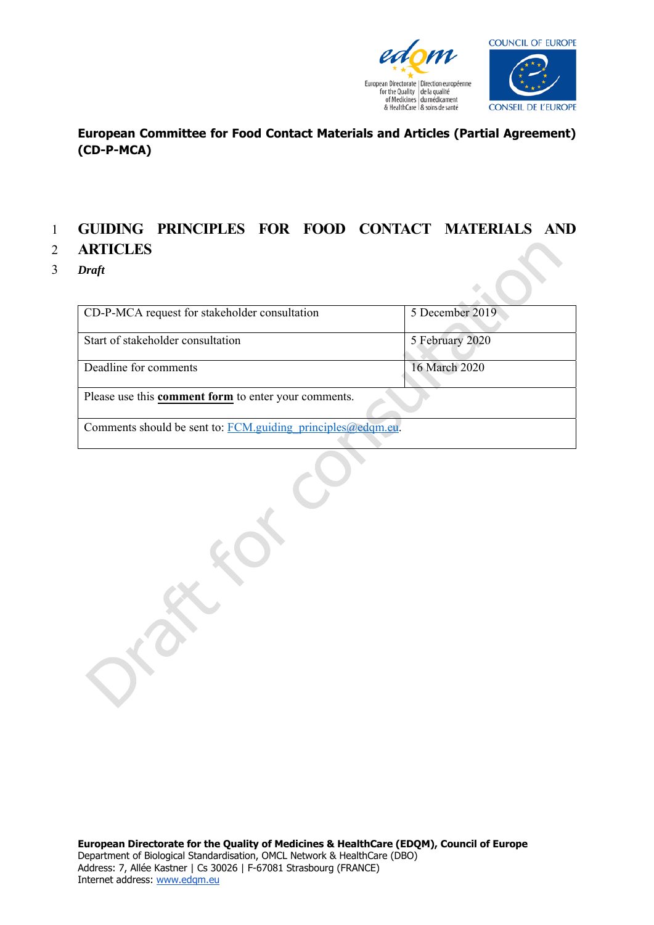



#### **European Committee for Food Contact Materials and Articles (Partial Agreement) (CD-P-MCA)**

## 1 **GUIDING PRINCIPLES FOR FOOD CONTACT MATERIALS AND**

#### 2 **ARTICLES**

3 *Draft* 

| CD-P-MCA request for stakeholder consultation               | 5 December 2019 |
|-------------------------------------------------------------|-----------------|
|                                                             |                 |
| Start of stakeholder consultation                           | 5 February 2020 |
|                                                             |                 |
| Deadline for comments                                       | 16 March 2020   |
|                                                             |                 |
| Please use this comment form to enter your comments.        |                 |
|                                                             |                 |
| Comments should be sent to: FCM.guiding principles@edqm.eu. |                 |
|                                                             |                 |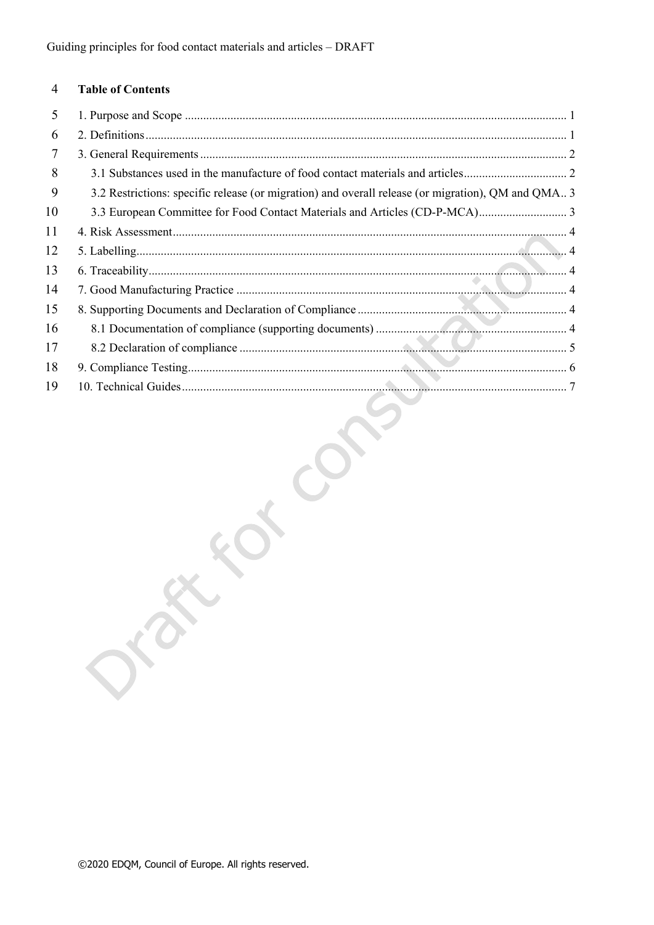#### $\overline{4}$ **Table of Contents**

| 5  |                                                                                                    |
|----|----------------------------------------------------------------------------------------------------|
| 6  |                                                                                                    |
| 7  |                                                                                                    |
| 8  |                                                                                                    |
| 9  | 3.2 Restrictions: specific release (or migration) and overall release (or migration), QM and QMA 3 |
| 10 |                                                                                                    |
| 11 |                                                                                                    |
| 12 |                                                                                                    |
| 13 |                                                                                                    |
| 14 |                                                                                                    |
| 15 |                                                                                                    |
| 16 |                                                                                                    |
| 17 |                                                                                                    |
| 18 |                                                                                                    |
| 19 |                                                                                                    |
|    |                                                                                                    |
|    |                                                                                                    |
|    |                                                                                                    |
|    |                                                                                                    |
|    |                                                                                                    |
|    |                                                                                                    |
|    |                                                                                                    |
|    |                                                                                                    |
|    |                                                                                                    |
|    |                                                                                                    |
|    |                                                                                                    |
|    |                                                                                                    |
|    |                                                                                                    |
|    |                                                                                                    |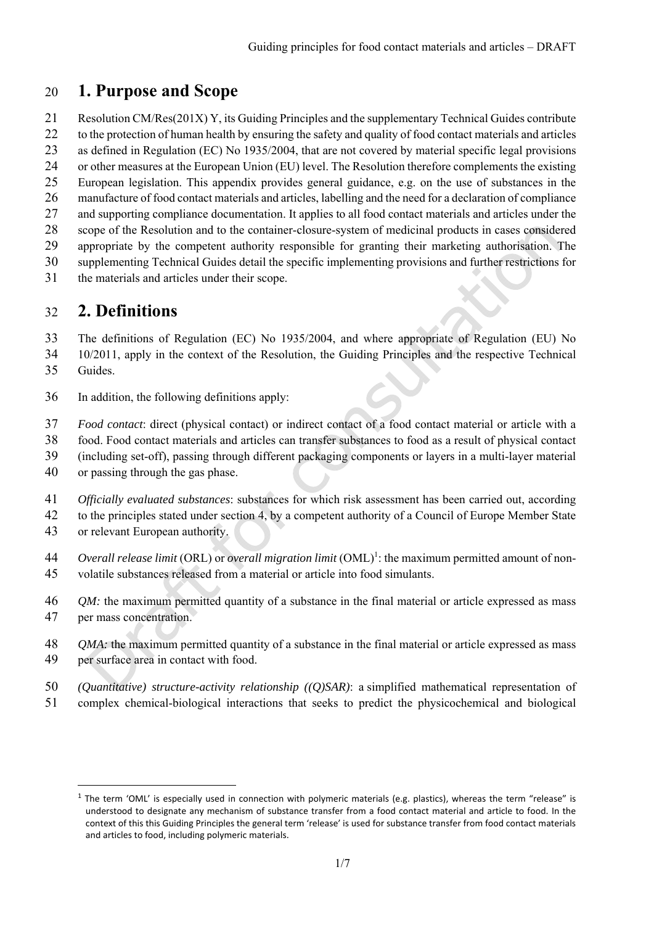## 20 **1. Purpose and Scope**

- 21 Resolution CM/Res(201X) Y, its Guiding Principles and the supplementary Technical Guides contribute 22 to the protection of human health by ensuring the safety and quality of food contact materials and articles
- 23 as defined in Regulation (EC) No 1935/2004, that are not covered by material specific legal provisions
- 24 or other measures at the European Union (EU) level. The Resolution therefore complements the existing
- 25 European legislation. This appendix provides general guidance, e.g. on the use of substances in the
- 26 manufacture of food contact materials and articles, labelling and the need for a declaration of compliance
- 27 and supporting compliance documentation. It applies to all food contact materials and articles under the
- 28 scope of the Resolution and to the container-closure-system of medicinal products in cases considered
- 29 appropriate by the competent authority responsible for granting their marketing authorisation. The
- 30 supplementing Technical Guides detail the specific implementing provisions and further restrictions for
- 31 the materials and articles under their scope.

# 32 **2. Definitions**

- 33 The definitions of Regulation (EC) No 1935/2004, and where appropriate of Regulation (EU) No
- 34 10/2011, apply in the context of the Resolution, the Guiding Principles and the respective Technical
- 35 Guides.

<u>.</u>

- 36 In addition, the following definitions apply:
- 37 *Food contact*: direct (physical contact) or indirect contact of a food contact material or article with a
- 38 food. Food contact materials and articles can transfer substances to food as a result of physical contact
- 39 (including set-off), passing through different packaging components or layers in a multi-layer material
- 40 or passing through the gas phase.
- 41 *Officially evaluated substances*: substances for which risk assessment has been carried out, according
- 42 to the principles stated under section 4, by a competent authority of a Council of Europe Member State
- 43 or relevant European authority.
- *A4 Overall release limit* (ORL) or *overall migration limit* (OML)<sup>1</sup>: the maximum permitted amount of non-45 volatile substances released from a material or article into food simulants.
- 46 *QM*: the maximum permitted quantity of a substance in the final material or article expressed as mass 47 per mass concentration.
- 48 *QMA*: the maximum permitted quantity of a substance in the final material or article expressed as mass 49 per surface area in contact with food.
- 50 *(Quantitative) structure-activity relationship ((Q)SAR)*: a simplified mathematical representation of
- 51 complex chemical-biological interactions that seeks to predict the physicochemical and biological

 $<sup>1</sup>$  The term 'OML' is especially used in connection with polymeric materials (e.g. plastics), whereas the term "release" is</sup> understood to designate any mechanism of substance transfer from a food contact material and article to food. In the context of this this Guiding Principles the general term 'release' is used for substance transfer from food contact materials and articles to food, including polymeric materials.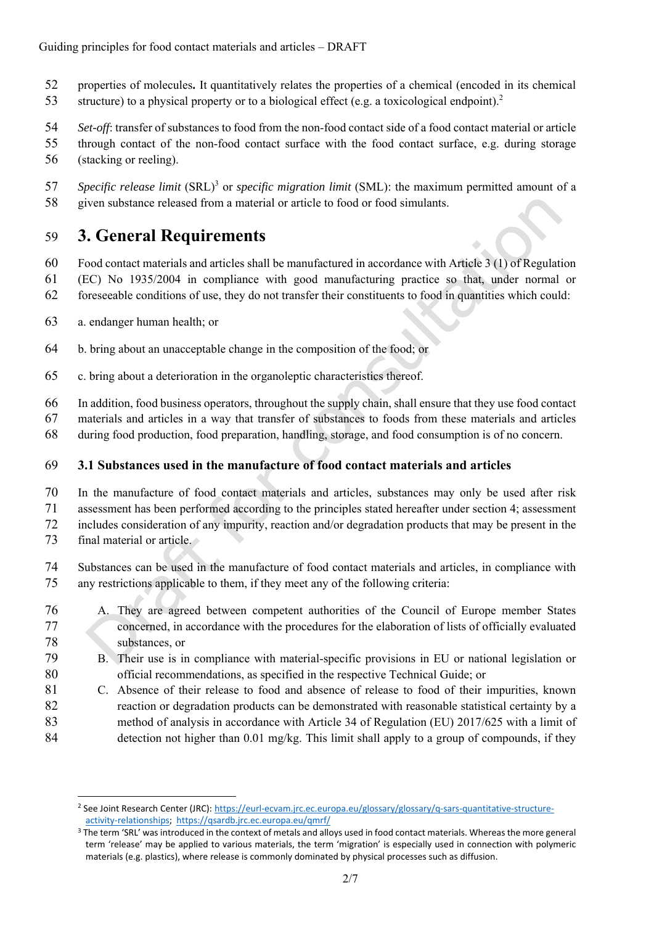- 52 properties of molecules**.** It quantitatively relates the properties of a chemical (encoded in its chemical
- 53 structure) to a physical property or to a biological effect (e.g. a toxicological endpoint).<sup>2</sup>
- 54 *Set-off*: transfer of substances to food from the non-food contact side of a food contact material or article
- 55 through contact of the non-food contact surface with the food contact surface, e.g. during storage 56 (stacking or reeling).
- *Specific release limit* (SRL)<sup>3</sup> or *specific migration limit* (SML): the maximum permitted amount of a 58 given substance released from a material or article to food or food simulants.

# 59 **3. General Requirements**

- 60 Food contact materials and articles shall be manufactured in accordance with Article 3 (1) of Regulation
- 61 (EC) No 1935/2004 in compliance with good manufacturing practice so that, under normal or
- 62 foreseeable conditions of use, they do not transfer their constituents to food in quantities which could:
- 63 a. endanger human health; or
- 64 b. bring about an unacceptable change in the composition of the food; or
- 65 c. bring about a deterioration in the organoleptic characteristics thereof.
- 66 In addition, food business operators, throughout the supply chain, shall ensure that they use food contact
- 67 materials and articles in a way that transfer of substances to foods from these materials and articles
- 68 during food production, food preparation, handling, storage, and food consumption is of no concern.

### 69 **3.1 Substances used in the manufacture of food contact materials and articles**

- 70 In the manufacture of food contact materials and articles, substances may only be used after risk 71 assessment has been performed according to the principles stated hereafter under section 4; assessment 72 includes consideration of any impurity, reaction and/or degradation products that may be present in the
- 73 final material or article.

<u>.</u>

- 74 Substances can be used in the manufacture of food contact materials and articles, in compliance with 75 any restrictions applicable to them, if they meet any of the following criteria:
- 76 A. They are agreed between competent authorities of the Council of Europe member States 77 concerned, in accordance with the procedures for the elaboration of lists of officially evaluated 78 substances, or
- 79 B. Their use is in compliance with material-specific provisions in EU or national legislation or 80 official recommendations, as specified in the respective Technical Guide; or
- 81 C. Absence of their release to food and absence of release to food of their impurities, known 82 reaction or degradation products can be demonstrated with reasonable statistical certainty by a 83 method of analysis in accordance with Article 34 of Regulation (EU) 2017/625 with a limit of 84 detection not higher than 0.01 mg/kg. This limit shall apply to a group of compounds, if they

<sup>&</sup>lt;sup>2</sup> See Joint Research Center (JRC): https://eurl-ecvam.jrc.ec.europa.eu/glossary/glossary/q-sars-quantitative-structure-<br>activity-relationships; https://qsardb.jrc.ec.europa.eu/qmrf/

<sup>&</sup>lt;sup>3</sup> The term 'SRL' was introduced in the context of metals and alloys used in food contact materials. Whereas the more general term 'release' may be applied to various materials, the term 'migration' is especially used in connection with polymeric materials (e.g. plastics), where release is commonly dominated by physical processes such as diffusion.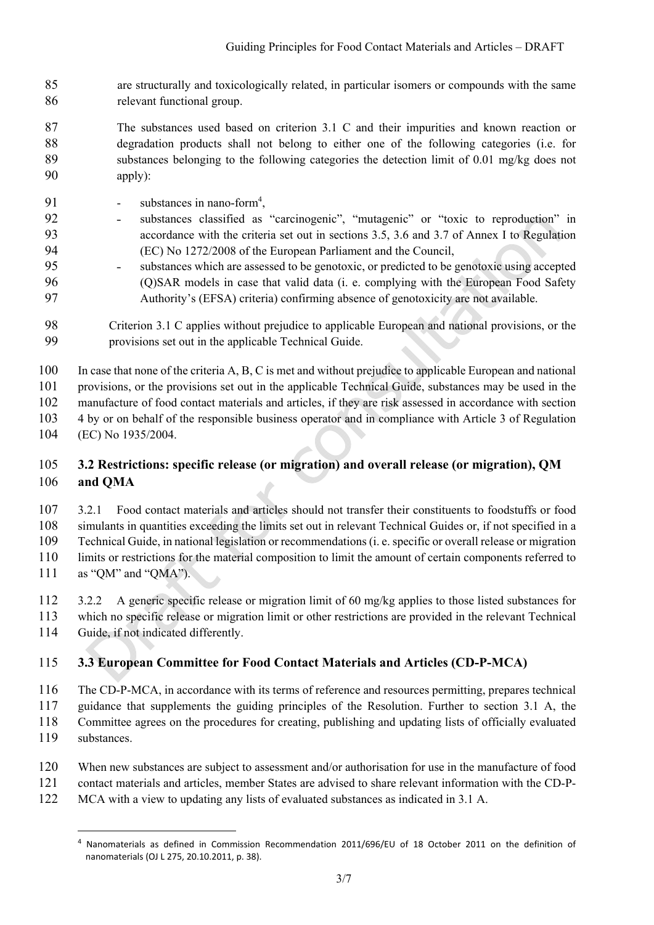- 85 are structurally and toxicologically related, in particular isomers or compounds with the same 86 relevant functional group.
- 87 The substances used based on criterion 3.1 C and their impurities and known reaction or 88 degradation products shall not belong to either one of the following categories (i.e. for 89 substances belonging to the following categories the detection limit of 0.01 mg/kg does not 90 apply):
- 91 substances in nano-form<sup>4</sup>,
- 92 ˗ substances classified as "carcinogenic", "mutagenic" or "toxic to reproduction" in 93 accordance with the criteria set out in sections 3.5, 3.6 and 3.7 of Annex I to Regulation 94 (EC) No 1272/2008 of the European Parliament and the Council,
- 95 ˗ substances which are assessed to be genotoxic, or predicted to be genotoxic using accepted 96 (Q)SAR models in case that valid data (i. e. complying with the European Food Safety 97 Authority's (EFSA) criteria) confirming absence of genotoxicity are not available.
- 98 Criterion 3.1 C applies without prejudice to applicable European and national provisions, or the 99 provisions set out in the applicable Technical Guide.

100 In case that none of the criteria A, B, C is met and without prejudice to applicable European and national

101 provisions, or the provisions set out in the applicable Technical Guide, substances may be used in the

102 manufacture of food contact materials and articles, if they are risk assessed in accordance with section

103 4 by or on behalf of the responsible business operator and in compliance with Article 3 of Regulation

104 (EC) No 1935/2004.

#### 105 **3.2 Restrictions: specific release (or migration) and overall release (or migration), QM**  106 **and QMA**

107 3.2.1 Food contact materials and articles should not transfer their constituents to foodstuffs or food 108 simulants in quantities exceeding the limits set out in relevant Technical Guides or, if not specified in a

109 Technical Guide, in national legislation or recommendations (i. e. specific or overall release or migration 110 limits or restrictions for the material composition to limit the amount of certain components referred to

- 111 as "QM" and "QMA").
- 112 3.2.2 A generic specific release or migration limit of 60 mg/kg applies to those listed substances for 113 which no specific release or migration limit or other restrictions are provided in the relevant Technical
- 114 Guide, if not indicated differently.

#### 115 **3.3 European Committee for Food Contact Materials and Articles (CD-P-MCA)**

116 The CD-P-MCA, in accordance with its terms of reference and resources permitting, prepares technical 117 guidance that supplements the guiding principles of the Resolution. Further to section 3.1 A, the 118 Committee agrees on the procedures for creating, publishing and updating lists of officially evaluated

119 substances.

1

- 120 When new substances are subject to assessment and/or authorisation for use in the manufacture of food
- 121 contact materials and articles, member States are advised to share relevant information with the CD-P-
- 122 MCA with a view to updating any lists of evaluated substances as indicated in 3.1 A.

<sup>4</sup> Nanomaterials as defined in Commission Recommendation 2011/696/EU of 18 October 2011 on the definition of nanomaterials (OJ L 275, 20.10.2011, p. 38).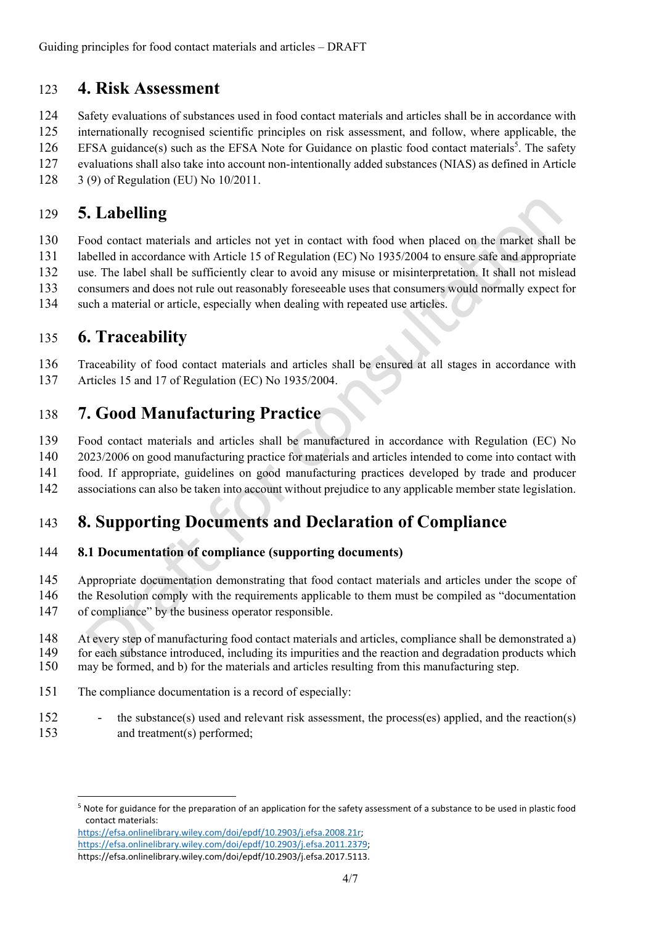## 123 **4. Risk Assessment**

124 Safety evaluations of substances used in food contact materials and articles shall be in accordance with

125 internationally recognised scientific principles on risk assessment, and follow, where applicable, the

126 EFSA guidance(s) such as the EFSA Note for Guidance on plastic food contact materials<sup>5</sup>. The safety

- 127 evaluations shall also take into account non-intentionally added substances (NIAS) as defined in Article
- 128 3 (9) of Regulation (EU) No 10/2011.

# 129 **5. Labelling**

130 Food contact materials and articles not yet in contact with food when placed on the market shall be 131 labelled in accordance with Article 15 of Regulation (EC) No 1935/2004 to ensure safe and appropriate 132 use. The label shall be sufficiently clear to avoid any misuse or misinterpretation. It shall not mislead 133 consumers and does not rule out reasonably foreseeable uses that consumers would normally expect for 134 such a material or article, especially when dealing with repeated use articles.

# 135 **6. Traceability**

136 Traceability of food contact materials and articles shall be ensured at all stages in accordance with 137 Articles 15 and 17 of Regulation (EC) No 1935/2004.

## 138 **7. Good Manufacturing Practice**

139 Food contact materials and articles shall be manufactured in accordance with Regulation (EC) No

140 2023/2006 on good manufacturing practice for materials and articles intended to come into contact with

- 141 food. If appropriate, guidelines on good manufacturing practices developed by trade and producer
- 142 associations can also be taken into account without prejudice to any applicable member state legislation.

## 143 **8. Supporting Documents and Declaration of Compliance**

#### 144 **8.1 Documentation of compliance (supporting documents)**

- 145 Appropriate documentation demonstrating that food contact materials and articles under the scope of
- 146 the Resolution comply with the requirements applicable to them must be compiled as "documentation
- 147 of compliance" by the business operator responsible.

148 At every step of manufacturing food contact materials and articles, compliance shall be demonstrated a) 149 for each substance introduced, including its impurities and the reaction and degradation products which 150 may be formed, and b) for the materials and articles resulting from this manufacturing step.

- 151 The compliance documentation is a record of especially:
- 152 the substance(s) used and relevant risk assessment, the process(es) applied, and the reaction(s) 153 and treatment(s) performed;

<sup>&</sup>lt;u>.</u> 5 Note for guidance for the preparation of an application for the safety assessment of a substance to be used in plastic food contact materials: https://efsa.onlinelibrary.wiley.com/doi/epdf/10.2903/j.efsa.2008.21r; https://efsa.onlinelibrary.wiley.com/doi/epdf/10.2903/j.efsa.2011.2379;

https://efsa.onlinelibrary.wiley.com/doi/epdf/10.2903/j.efsa.2017.5113.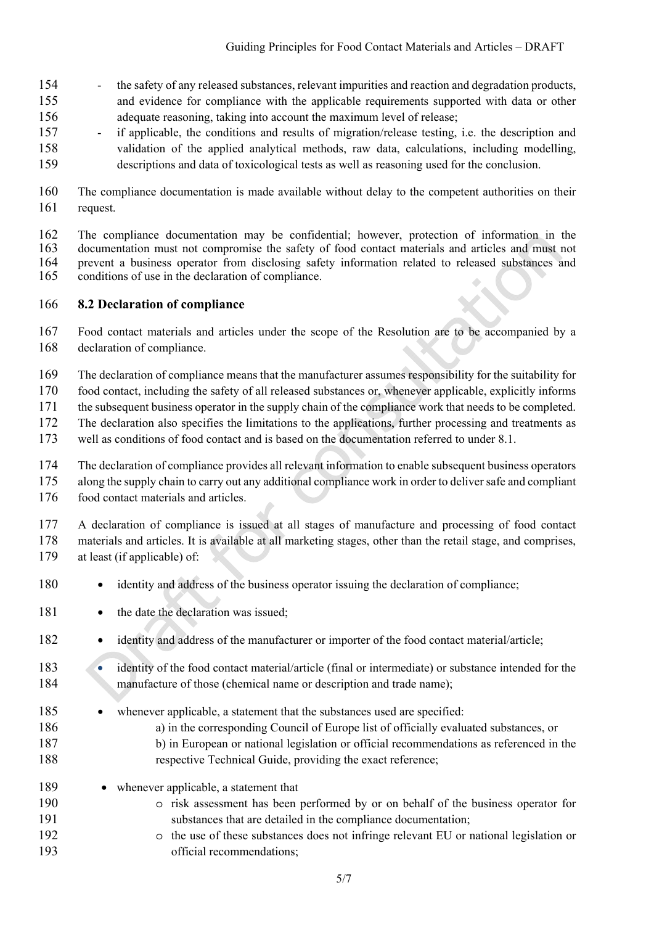- 154 the safety of any released substances, relevant impurities and reaction and degradation products, 155 and evidence for compliance with the applicable requirements supported with data or other 156 adequate reasoning, taking into account the maximum level of release;
- 157 if applicable, the conditions and results of migration/release testing, i.e. the description and 158 validation of the applied analytical methods, raw data, calculations, including modelling, 159 descriptions and data of toxicological tests as well as reasoning used for the conclusion.
- 160 The compliance documentation is made available without delay to the competent authorities on their 161 request.

162 The compliance documentation may be confidential; however, protection of information in the 163 documentation must not compromise the safety of food contact materials and articles and must not 164 prevent a business operator from disclosing safety information related to released substances and 165 conditions of use in the declaration of compliance.

#### 166 **8.2 Declaration of compliance**

167 Food contact materials and articles under the scope of the Resolution are to be accompanied by a 168 declaration of compliance.

169 The declaration of compliance means that the manufacturer assumes responsibility for the suitability for

170 food contact, including the safety of all released substances or, whenever applicable, explicitly informs

171 the subsequent business operator in the supply chain of the compliance work that needs to be completed.

172 The declaration also specifies the limitations to the applications, further processing and treatments as

173 well as conditions of food contact and is based on the documentation referred to under 8.1.

174 The declaration of compliance provides all relevant information to enable subsequent business operators

175 along the supply chain to carry out any additional compliance work in order to deliver safe and compliant

176 food contact materials and articles.

177 A declaration of compliance is issued at all stages of manufacture and processing of food contact 178 materials and articles. It is available at all marketing stages, other than the retail stage, and comprises, 179 at least (if applicable) of:

- 180 identity and address of the business operator issuing the declaration of compliance:
- 181 the date the declaration was issued:
- 182 identity and address of the manufacturer or importer of the food contact material/article;
- 183 **•** identity of the food contact material/article (final or intermediate) or substance intended for the 184 manufacture of those (chemical name or description and trade name);
- 185 whenever applicable, a statement that the substances used are specified:
- 186 a) in the corresponding Council of Europe list of officially evaluated substances, or
- 187 b) in European or national legislation or official recommendations as referenced in the 188 respective Technical Guide, providing the exact reference;
- 189 whenever applicable, a statement that
- 190 o risk assessment has been performed by or on behalf of the business operator for 191 substances that are detailed in the compliance documentation;
- 192 o the use of these substances does not infringe relevant EU or national legislation or 193 official recommendations;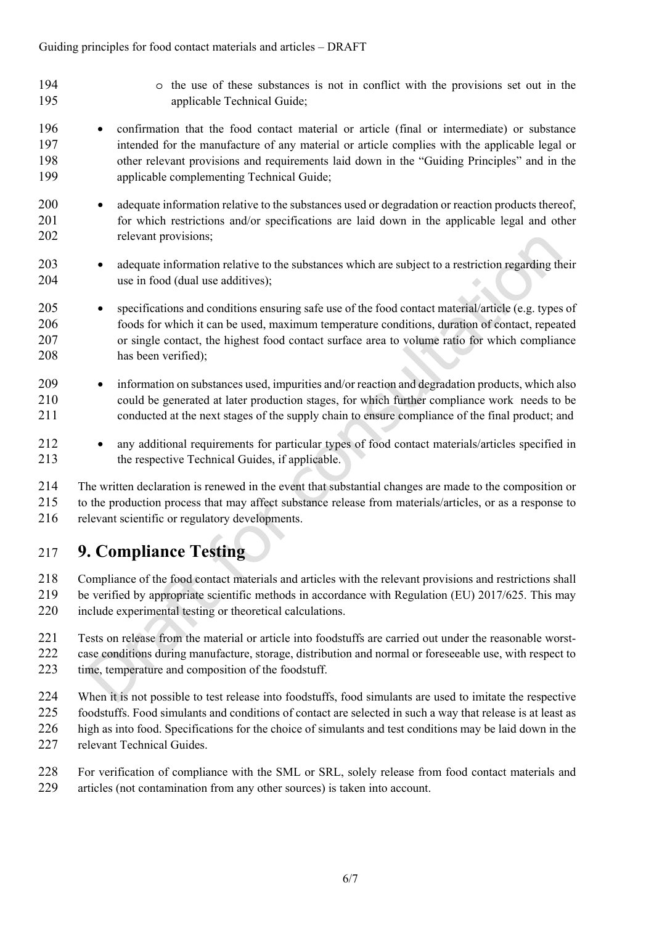- 
- 194 o the use of these substances is not in conflict with the provisions set out in the 195 applicable Technical Guide;
- 196 confirmation that the food contact material or article (final or intermediate) or substance 197 intended for the manufacture of any material or article complies with the applicable legal or 198 other relevant provisions and requirements laid down in the "Guiding Principles" and in the 199 applicable complementing Technical Guide;
- 200 adequate information relative to the substances used or degradation or reaction products thereof, 201 for which restrictions and/or specifications are laid down in the applicable legal and other 202 relevant provisions;
- 203 adequate information relative to the substances which are subject to a restriction regarding their 204 use in food (dual use additives);
- 205 specifications and conditions ensuring safe use of the food contact material/article (e.g. types of 206 foods for which it can be used, maximum temperature conditions, duration of contact, repeated 207 or single contact, the highest food contact surface area to volume ratio for which compliance 208 has been verified);
- 209 information on substances used, impurities and/or reaction and degradation products, which also 210 could be generated at later production stages, for which further compliance work needs to be 211 conducted at the next stages of the supply chain to ensure compliance of the final product; and
- 212 any additional requirements for particular types of food contact materials/articles specified in 213 the respective Technical Guides, if applicable.

214 The written declaration is renewed in the event that substantial changes are made to the composition or 215 to the production process that may affect substance release from materials/articles, or as a response to 216 relevant scientific or regulatory developments.

# 217 **9. Compliance Testing**

218 Compliance of the food contact materials and articles with the relevant provisions and restrictions shall

- 219 be verified by appropriate scientific methods in accordance with Regulation (EU) 2017/625. This may
- 220 include experimental testing or theoretical calculations.
- 221 Tests on release from the material or article into foodstuffs are carried out under the reasonable worst-222 case conditions during manufacture, storage, distribution and normal or foreseeable use, with respect to 223 time, temperature and composition of the foodstuff.
- 224 When it is not possible to test release into foodstuffs, food simulants are used to imitate the respective
- 225 foodstuffs. Food simulants and conditions of contact are selected in such a way that release is at least as
- 226 high as into food. Specifications for the choice of simulants and test conditions may be laid down in the
- 227 relevant Technical Guides.
- 228 For verification of compliance with the SML or SRL, solely release from food contact materials and 229 articles (not contamination from any other sources) is taken into account.